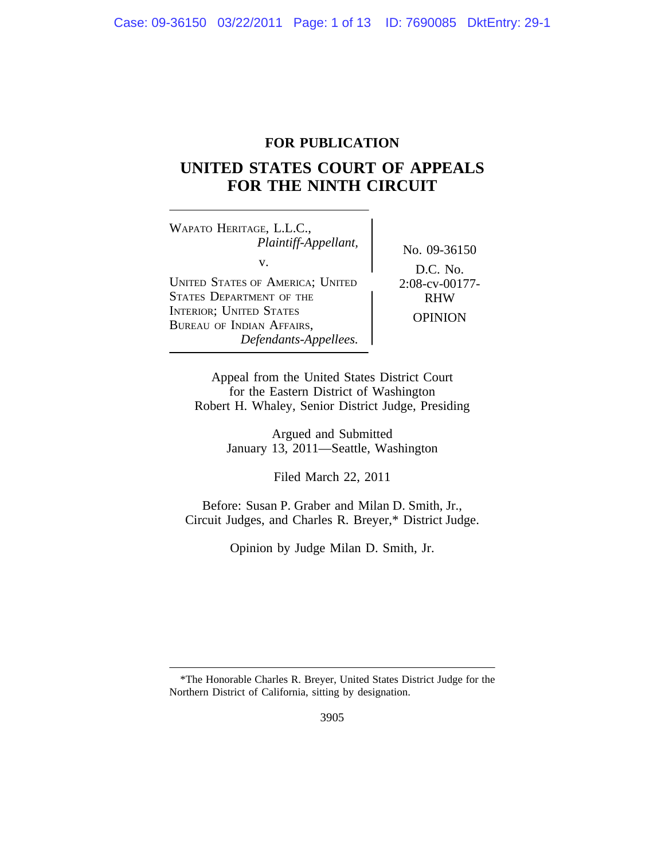# **FOR PUBLICATION**

# **UNITED STATES COURT OF APPEALS FOR THE NINTH CIRCUIT**

<sup>W</sup>APATO HERITAGE, L.L.C., *Plaintiff-Appellant,* No. 09-36150<br>v. UNITED STATES OF AMERICA; UNITED 2:08-cv-00177-<br>STATES DEPARTMENT OF THE RHW STATES DEPARTMENT OF THE INTERIOR; UNITED STATES INTERIOR, UNITED STATES<br>BUREAU OF INDIAN AFFAIRS, OPINION *Defendants-Appellees.*

D.C. No.

Appeal from the United States District Court for the Eastern District of Washington Robert H. Whaley, Senior District Judge, Presiding

> Argued and Submitted January 13, 2011—Seattle, Washington

> > Filed March 22, 2011

Before: Susan P. Graber and Milan D. Smith, Jr., Circuit Judges, and Charles R. Breyer,\* District Judge.

Opinion by Judge Milan D. Smith, Jr.

<sup>\*</sup>The Honorable Charles R. Breyer, United States District Judge for the Northern District of California, sitting by designation.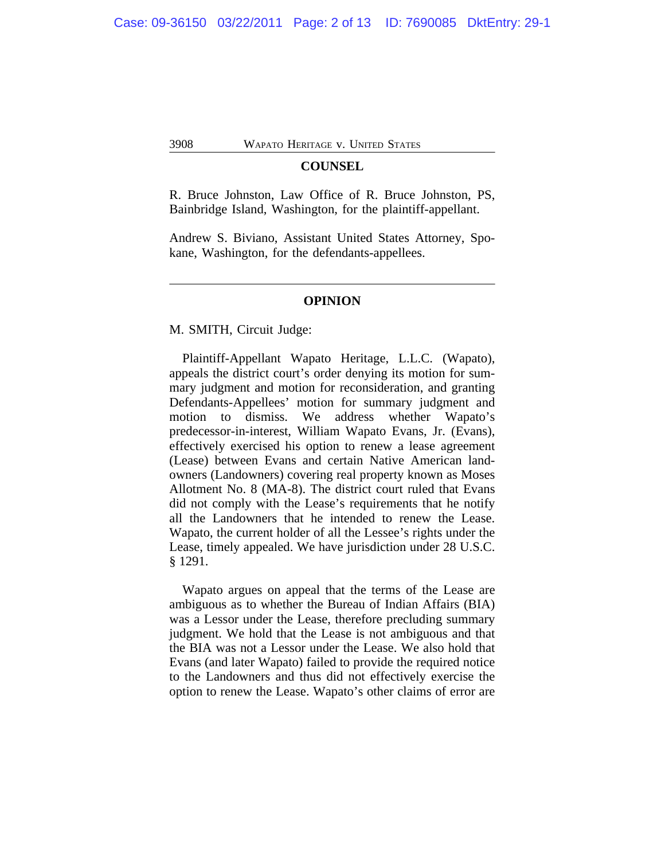#### **COUNSEL**

R. Bruce Johnston, Law Office of R. Bruce Johnston, PS, Bainbridge Island, Washington, for the plaintiff-appellant.

Andrew S. Biviano, Assistant United States Attorney, Spokane, Washington, for the defendants-appellees.

#### **OPINION**

M. SMITH, Circuit Judge:

Plaintiff-Appellant Wapato Heritage, L.L.C. (Wapato), appeals the district court's order denying its motion for summary judgment and motion for reconsideration, and granting Defendants-Appellees' motion for summary judgment and motion to dismiss. We address whether Wapato's predecessor-in-interest, William Wapato Evans, Jr. (Evans), effectively exercised his option to renew a lease agreement (Lease) between Evans and certain Native American landowners (Landowners) covering real property known as Moses Allotment No. 8 (MA-8). The district court ruled that Evans did not comply with the Lease's requirements that he notify all the Landowners that he intended to renew the Lease. Wapato, the current holder of all the Lessee's rights under the Lease, timely appealed. We have jurisdiction under 28 U.S.C. § 1291.

Wapato argues on appeal that the terms of the Lease are ambiguous as to whether the Bureau of Indian Affairs (BIA) was a Lessor under the Lease, therefore precluding summary judgment. We hold that the Lease is not ambiguous and that the BIA was not a Lessor under the Lease. We also hold that Evans (and later Wapato) failed to provide the required notice to the Landowners and thus did not effectively exercise the option to renew the Lease. Wapato's other claims of error are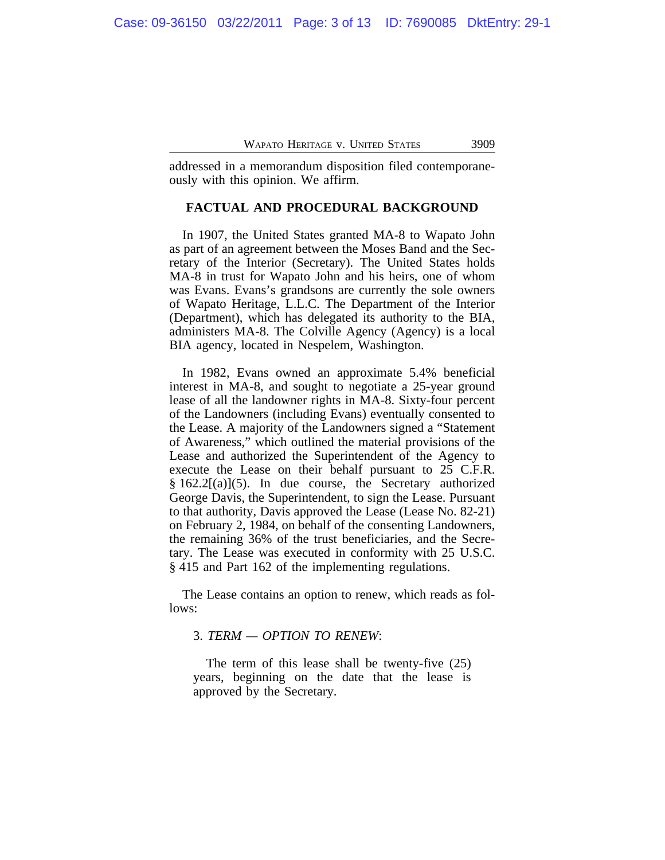addressed in a memorandum disposition filed contemporaneously with this opinion. We affirm.

#### **FACTUAL AND PROCEDURAL BACKGROUND**

In 1907, the United States granted MA-8 to Wapato John as part of an agreement between the Moses Band and the Secretary of the Interior (Secretary). The United States holds MA-8 in trust for Wapato John and his heirs, one of whom was Evans. Evans's grandsons are currently the sole owners of Wapato Heritage, L.L.C. The Department of the Interior (Department), which has delegated its authority to the BIA, administers MA-8. The Colville Agency (Agency) is a local BIA agency, located in Nespelem, Washington.

In 1982, Evans owned an approximate 5.4% beneficial interest in MA-8, and sought to negotiate a 25-year ground lease of all the landowner rights in MA-8. Sixty-four percent of the Landowners (including Evans) eventually consented to the Lease. A majority of the Landowners signed a "Statement of Awareness," which outlined the material provisions of the Lease and authorized the Superintendent of the Agency to execute the Lease on their behalf pursuant to 25 C.F.R.  $§ 162.2[(a)](5)$ . In due course, the Secretary authorized George Davis, the Superintendent, to sign the Lease. Pursuant to that authority, Davis approved the Lease (Lease No. 82-21) on February 2, 1984, on behalf of the consenting Landowners, the remaining 36% of the trust beneficiaries, and the Secretary. The Lease was executed in conformity with 25 U.S.C. § 415 and Part 162 of the implementing regulations.

The Lease contains an option to renew, which reads as follows:

## 3. *TERM — OPTION TO RENEW*:

The term of this lease shall be twenty-five (25) years, beginning on the date that the lease is approved by the Secretary.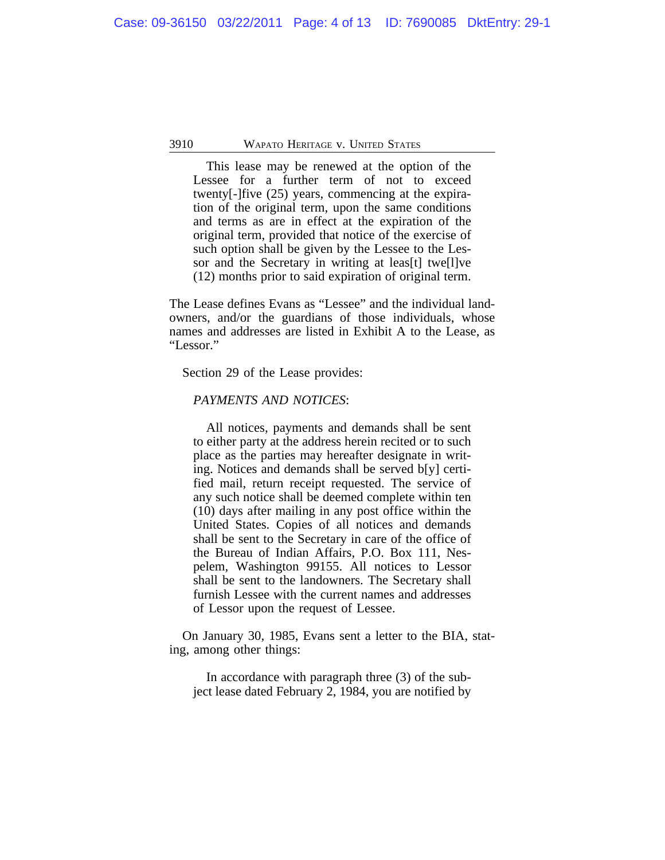This lease may be renewed at the option of the Lessee for a further term of not to exceed twenty[-]five (25) years, commencing at the expiration of the original term, upon the same conditions and terms as are in effect at the expiration of the original term, provided that notice of the exercise of such option shall be given by the Lessee to the Lessor and the Secretary in writing at leas[t] twe[l]ve (12) months prior to said expiration of original term.

The Lease defines Evans as "Lessee" and the individual landowners, and/or the guardians of those individuals, whose names and addresses are listed in Exhibit A to the Lease, as "Lessor."

Section 29 of the Lease provides:

# *PAYMENTS AND NOTICES*:

All notices, payments and demands shall be sent to either party at the address herein recited or to such place as the parties may hereafter designate in writing. Notices and demands shall be served b[y] certified mail, return receipt requested. The service of any such notice shall be deemed complete within ten (10) days after mailing in any post office within the United States. Copies of all notices and demands shall be sent to the Secretary in care of the office of the Bureau of Indian Affairs, P.O. Box 111, Nespelem, Washington 99155. All notices to Lessor shall be sent to the landowners. The Secretary shall furnish Lessee with the current names and addresses of Lessor upon the request of Lessee.

On January 30, 1985, Evans sent a letter to the BIA, stating, among other things:

In accordance with paragraph three (3) of the subject lease dated February 2, 1984, you are notified by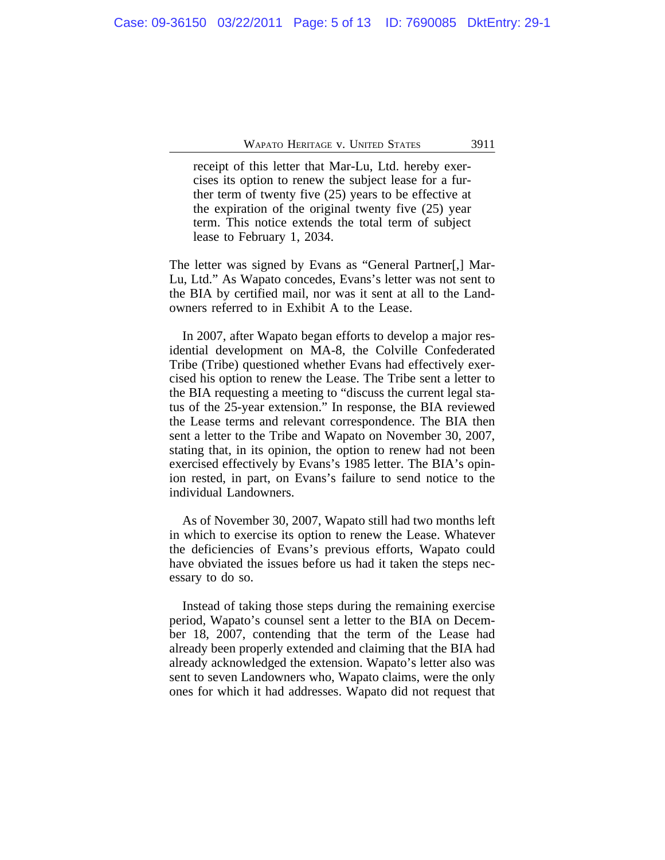receipt of this letter that Mar-Lu, Ltd. hereby exercises its option to renew the subject lease for a further term of twenty five (25) years to be effective at the expiration of the original twenty five (25) year term. This notice extends the total term of subject lease to February 1, 2034.

The letter was signed by Evans as "General Partner[,] Mar-Lu, Ltd." As Wapato concedes, Evans's letter was not sent to the BIA by certified mail, nor was it sent at all to the Landowners referred to in Exhibit A to the Lease.

In 2007, after Wapato began efforts to develop a major residential development on MA-8, the Colville Confederated Tribe (Tribe) questioned whether Evans had effectively exercised his option to renew the Lease. The Tribe sent a letter to the BIA requesting a meeting to "discuss the current legal status of the 25-year extension." In response, the BIA reviewed the Lease terms and relevant correspondence. The BIA then sent a letter to the Tribe and Wapato on November 30, 2007, stating that, in its opinion, the option to renew had not been exercised effectively by Evans's 1985 letter. The BIA's opinion rested, in part, on Evans's failure to send notice to the individual Landowners.

As of November 30, 2007, Wapato still had two months left in which to exercise its option to renew the Lease. Whatever the deficiencies of Evans's previous efforts, Wapato could have obviated the issues before us had it taken the steps necessary to do so.

Instead of taking those steps during the remaining exercise period, Wapato's counsel sent a letter to the BIA on December 18, 2007, contending that the term of the Lease had already been properly extended and claiming that the BIA had already acknowledged the extension. Wapato's letter also was sent to seven Landowners who, Wapato claims, were the only ones for which it had addresses. Wapato did not request that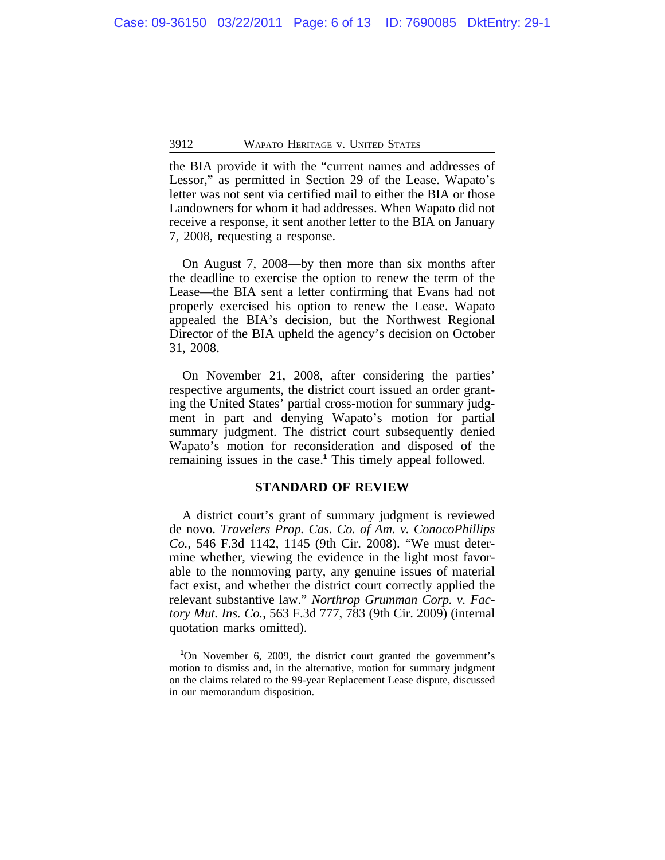the BIA provide it with the "current names and addresses of Lessor," as permitted in Section 29 of the Lease. Wapato's letter was not sent via certified mail to either the BIA or those Landowners for whom it had addresses. When Wapato did not receive a response, it sent another letter to the BIA on January 7, 2008, requesting a response.

On August 7, 2008—by then more than six months after the deadline to exercise the option to renew the term of the Lease—the BIA sent a letter confirming that Evans had not properly exercised his option to renew the Lease. Wapato appealed the BIA's decision, but the Northwest Regional Director of the BIA upheld the agency's decision on October 31, 2008.

On November 21, 2008, after considering the parties' respective arguments, the district court issued an order granting the United States' partial cross-motion for summary judgment in part and denying Wapato's motion for partial summary judgment. The district court subsequently denied Wapato's motion for reconsideration and disposed of the remaining issues in the case.**<sup>1</sup>** This timely appeal followed.

#### **STANDARD OF REVIEW**

A district court's grant of summary judgment is reviewed de novo. *Travelers Prop. Cas. Co. of Am. v. ConocoPhillips Co.*, 546 F.3d 1142, 1145 (9th Cir. 2008). "We must determine whether, viewing the evidence in the light most favorable to the nonmoving party, any genuine issues of material fact exist, and whether the district court correctly applied the relevant substantive law." *Northrop Grumman Corp. v. Factory Mut. Ins. Co.*, 563 F.3d 777, 783 (9th Cir. 2009) (internal quotation marks omitted).

**<sup>1</sup>**On November 6, 2009, the district court granted the government's motion to dismiss and, in the alternative, motion for summary judgment on the claims related to the 99-year Replacement Lease dispute, discussed in our memorandum disposition.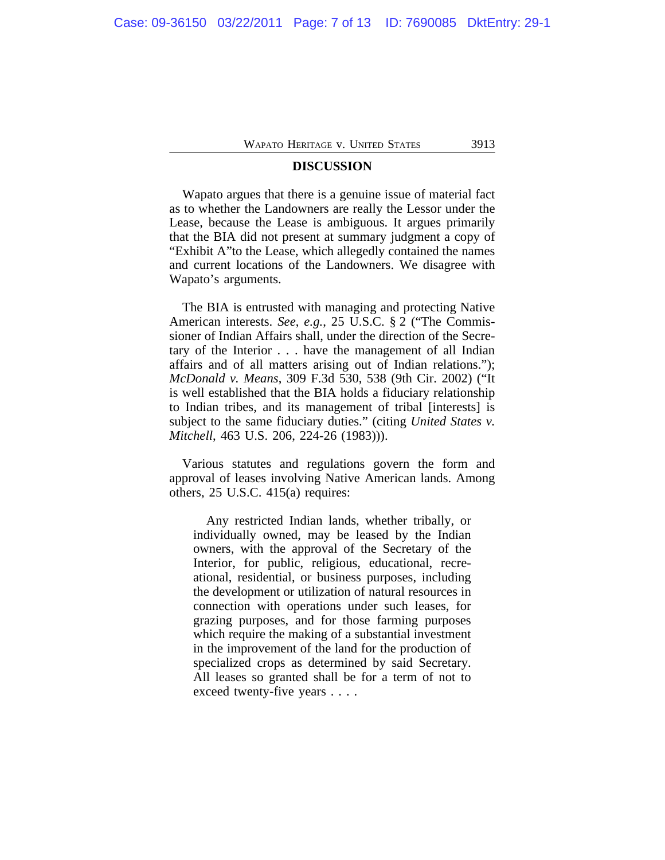### **DISCUSSION**

Wapato argues that there is a genuine issue of material fact as to whether the Landowners are really the Lessor under the Lease, because the Lease is ambiguous. It argues primarily that the BIA did not present at summary judgment a copy of "Exhibit A"to the Lease, which allegedly contained the names and current locations of the Landowners. We disagree with Wapato's arguments.

The BIA is entrusted with managing and protecting Native American interests. *See*, *e.g.*, 25 U.S.C. § 2 ("The Commissioner of Indian Affairs shall, under the direction of the Secretary of the Interior . . . have the management of all Indian affairs and of all matters arising out of Indian relations."); *McDonald v. Means*, 309 F.3d 530, 538 (9th Cir. 2002) ("It is well established that the BIA holds a fiduciary relationship to Indian tribes, and its management of tribal [interests] is subject to the same fiduciary duties." (citing *United States v. Mitchell*, 463 U.S. 206, 224-26 (1983))).

Various statutes and regulations govern the form and approval of leases involving Native American lands. Among others, 25 U.S.C. 415(a) requires:

Any restricted Indian lands, whether tribally, or individually owned, may be leased by the Indian owners, with the approval of the Secretary of the Interior, for public, religious, educational, recreational, residential, or business purposes, including the development or utilization of natural resources in connection with operations under such leases, for grazing purposes, and for those farming purposes which require the making of a substantial investment in the improvement of the land for the production of specialized crops as determined by said Secretary. All leases so granted shall be for a term of not to exceed twenty-five years . . . .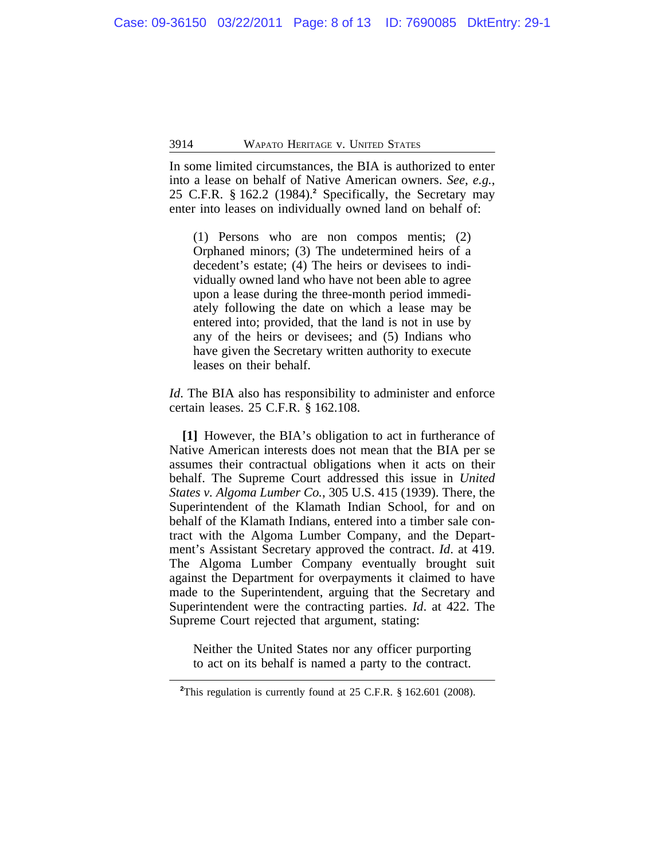In some limited circumstances, the BIA is authorized to enter into a lease on behalf of Native American owners. *See*, *e.g.*, 25 C.F.R. § 162.2 (1984).**<sup>2</sup>** Specifically, the Secretary may enter into leases on individually owned land on behalf of:

(1) Persons who are non compos mentis; (2) Orphaned minors; (3) The undetermined heirs of a decedent's estate; (4) The heirs or devisees to individually owned land who have not been able to agree upon a lease during the three-month period immediately following the date on which a lease may be entered into; provided, that the land is not in use by any of the heirs or devisees; and (5) Indians who have given the Secretary written authority to execute leases on their behalf.

*Id*. The BIA also has responsibility to administer and enforce certain leases. 25 C.F.R. § 162.108.

**[1]** However, the BIA's obligation to act in furtherance of Native American interests does not mean that the BIA per se assumes their contractual obligations when it acts on their behalf. The Supreme Court addressed this issue in *United States v. Algoma Lumber Co.*, 305 U.S. 415 (1939). There, the Superintendent of the Klamath Indian School, for and on behalf of the Klamath Indians, entered into a timber sale contract with the Algoma Lumber Company, and the Department's Assistant Secretary approved the contract. *Id*. at 419. The Algoma Lumber Company eventually brought suit against the Department for overpayments it claimed to have made to the Superintendent, arguing that the Secretary and Superintendent were the contracting parties. *Id*. at 422. The Supreme Court rejected that argument, stating:

Neither the United States nor any officer purporting to act on its behalf is named a party to the contract.

<sup>&</sup>lt;sup>2</sup>This regulation is currently found at 25 C.F.R. § 162.601 (2008).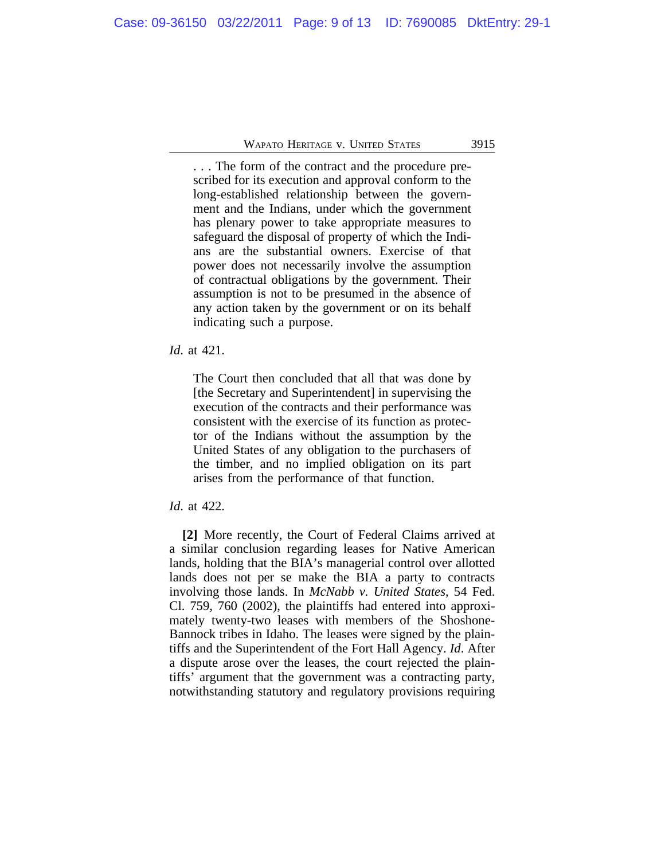. . . The form of the contract and the procedure prescribed for its execution and approval conform to the long-established relationship between the government and the Indians, under which the government has plenary power to take appropriate measures to safeguard the disposal of property of which the Indians are the substantial owners. Exercise of that power does not necessarily involve the assumption of contractual obligations by the government. Their assumption is not to be presumed in the absence of any action taken by the government or on its behalf indicating such a purpose.

# *Id*. at 421.

The Court then concluded that all that was done by [the Secretary and Superintendent] in supervising the execution of the contracts and their performance was consistent with the exercise of its function as protector of the Indians without the assumption by the United States of any obligation to the purchasers of the timber, and no implied obligation on its part arises from the performance of that function.

#### *Id*. at 422.

**[2]** More recently, the Court of Federal Claims arrived at a similar conclusion regarding leases for Native American lands, holding that the BIA's managerial control over allotted lands does not per se make the BIA a party to contracts involving those lands. In *McNabb v. United States*, 54 Fed. Cl. 759, 760 (2002), the plaintiffs had entered into approximately twenty-two leases with members of the Shoshone-Bannock tribes in Idaho. The leases were signed by the plaintiffs and the Superintendent of the Fort Hall Agency. *Id*. After a dispute arose over the leases, the court rejected the plaintiffs' argument that the government was a contracting party, notwithstanding statutory and regulatory provisions requiring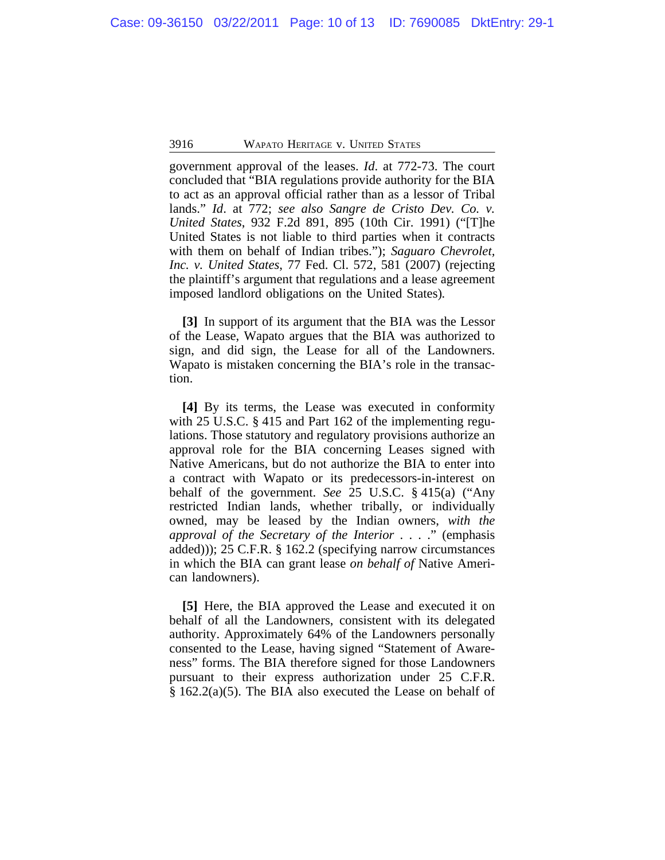government approval of the leases. *Id*. at 772-73. The court concluded that "BIA regulations provide authority for the BIA to act as an approval official rather than as a lessor of Tribal lands." *Id*. at 772; *see also Sangre de Cristo Dev. Co. v. United States*, 932 F.2d 891, 895 (10th Cir. 1991) ("[T]he United States is not liable to third parties when it contracts with them on behalf of Indian tribes."); *Saguaro Chevrolet, Inc. v. United States*, 77 Fed. Cl. 572, 581 (2007) (rejecting the plaintiff's argument that regulations and a lease agreement imposed landlord obligations on the United States)*.*

**[3]** In support of its argument that the BIA was the Lessor of the Lease, Wapato argues that the BIA was authorized to sign, and did sign, the Lease for all of the Landowners. Wapato is mistaken concerning the BIA's role in the transaction.

**[4]** By its terms, the Lease was executed in conformity with 25 U.S.C. § 415 and Part 162 of the implementing regulations. Those statutory and regulatory provisions authorize an approval role for the BIA concerning Leases signed with Native Americans, but do not authorize the BIA to enter into a contract with Wapato or its predecessors-in-interest on behalf of the government. *See* 25 U.S.C. § 415(a) ("Any restricted Indian lands, whether tribally, or individually owned, may be leased by the Indian owners, *with the approval of the Secretary of the Interior* . . . ." (emphasis added))); 25 C.F.R. § 162.2 (specifying narrow circumstances in which the BIA can grant lease *on behalf of* Native American landowners).

**[5]** Here, the BIA approved the Lease and executed it on behalf of all the Landowners, consistent with its delegated authority. Approximately 64% of the Landowners personally consented to the Lease, having signed "Statement of Awareness" forms. The BIA therefore signed for those Landowners pursuant to their express authorization under 25 C.F.R. § 162.2(a)(5). The BIA also executed the Lease on behalf of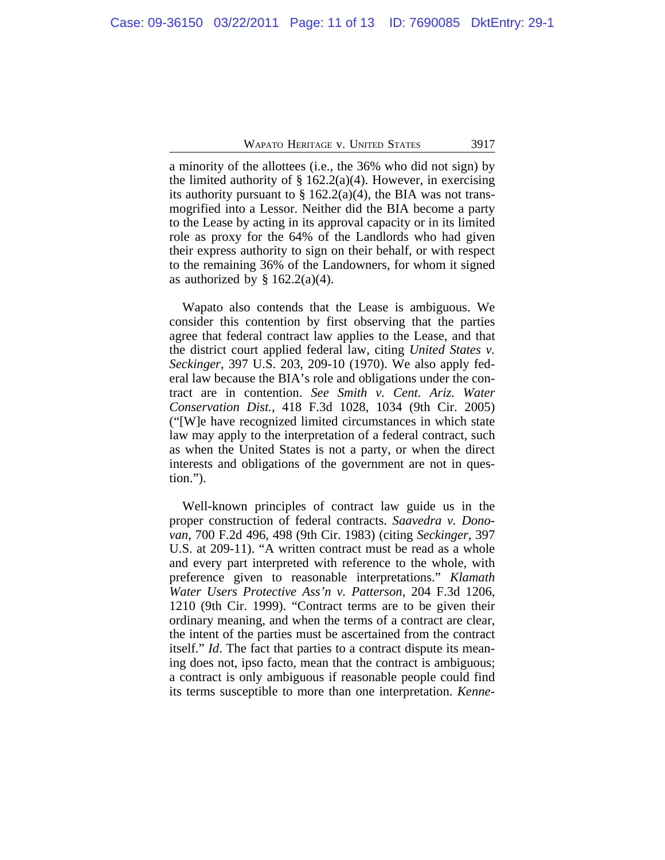a minority of the allottees (i.e., the 36% who did not sign) by the limited authority of  $\S 162.2(a)(4)$ . However, in exercising its authority pursuant to  $\S$  162.2(a)(4), the BIA was not transmogrified into a Lessor. Neither did the BIA become a party to the Lease by acting in its approval capacity or in its limited role as proxy for the 64% of the Landlords who had given their express authority to sign on their behalf, or with respect to the remaining 36% of the Landowners, for whom it signed as authorized by  $\S$  162.2(a)(4).

Wapato also contends that the Lease is ambiguous. We consider this contention by first observing that the parties agree that federal contract law applies to the Lease, and that the district court applied federal law, citing *United States v. Seckinger*, 397 U.S. 203, 209-10 (1970). We also apply federal law because the BIA's role and obligations under the contract are in contention. *See Smith v. Cent. Ariz. Water Conservation Dist.*, 418 F.3d 1028, 1034 (9th Cir. 2005) ("[W]e have recognized limited circumstances in which state law may apply to the interpretation of a federal contract, such as when the United States is not a party, or when the direct interests and obligations of the government are not in question.").

Well-known principles of contract law guide us in the proper construction of federal contracts. *Saavedra v. Donovan*, 700 F.2d 496, 498 (9th Cir. 1983) (citing *Seckinger*, 397 U.S. at 209-11). "A written contract must be read as a whole and every part interpreted with reference to the whole, with preference given to reasonable interpretations." *Klamath Water Users Protective Ass'n v. Patterson*, 204 F.3d 1206, 1210 (9th Cir. 1999). "Contract terms are to be given their ordinary meaning, and when the terms of a contract are clear, the intent of the parties must be ascertained from the contract itself." *Id*. The fact that parties to a contract dispute its meaning does not, ipso facto, mean that the contract is ambiguous; a contract is only ambiguous if reasonable people could find its terms susceptible to more than one interpretation. *Kenne-*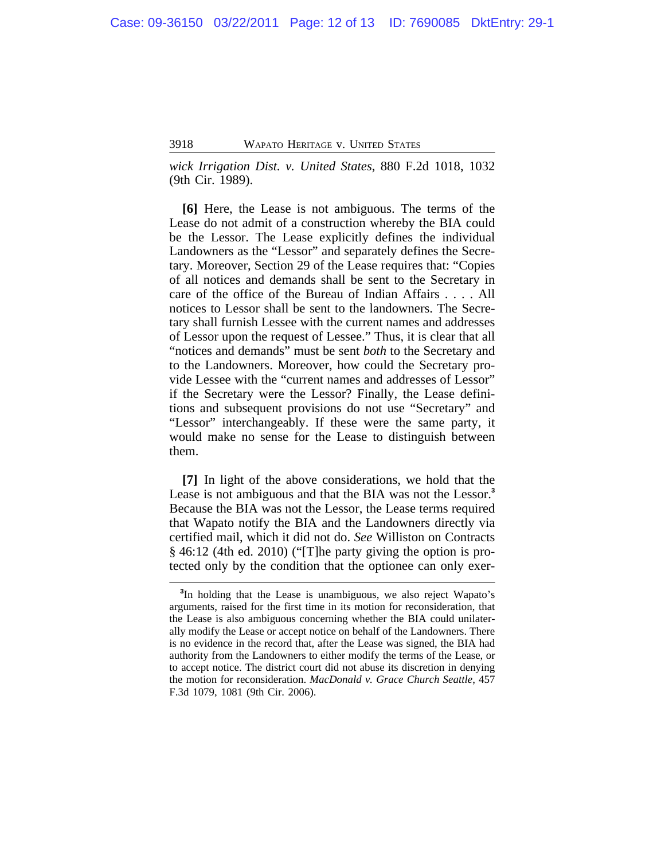*wick Irrigation Dist. v. United States*, 880 F.2d 1018, 1032 (9th Cir. 1989).

**[6]** Here, the Lease is not ambiguous. The terms of the Lease do not admit of a construction whereby the BIA could be the Lessor. The Lease explicitly defines the individual Landowners as the "Lessor" and separately defines the Secretary. Moreover, Section 29 of the Lease requires that: "Copies of all notices and demands shall be sent to the Secretary in care of the office of the Bureau of Indian Affairs . . . . All notices to Lessor shall be sent to the landowners. The Secretary shall furnish Lessee with the current names and addresses of Lessor upon the request of Lessee." Thus, it is clear that all "notices and demands" must be sent *both* to the Secretary and to the Landowners. Moreover, how could the Secretary provide Lessee with the "current names and addresses of Lessor" if the Secretary were the Lessor? Finally, the Lease definitions and subsequent provisions do not use "Secretary" and "Lessor" interchangeably. If these were the same party, it would make no sense for the Lease to distinguish between them.

**[7]** In light of the above considerations, we hold that the Lease is not ambiguous and that the BIA was not the Lessor.**<sup>3</sup>** Because the BIA was not the Lessor, the Lease terms required that Wapato notify the BIA and the Landowners directly via certified mail, which it did not do. *See* Williston on Contracts § 46:12 (4th ed. 2010) ("[T]he party giving the option is protected only by the condition that the optionee can only exer-

<sup>&</sup>lt;sup>3</sup>In holding that the Lease is unambiguous, we also reject Wapato's arguments, raised for the first time in its motion for reconsideration, that the Lease is also ambiguous concerning whether the BIA could unilaterally modify the Lease or accept notice on behalf of the Landowners. There is no evidence in the record that, after the Lease was signed, the BIA had authority from the Landowners to either modify the terms of the Lease, or to accept notice. The district court did not abuse its discretion in denying the motion for reconsideration. *MacDonald v. Grace Church Seattle*, 457 F.3d 1079, 1081 (9th Cir. 2006).